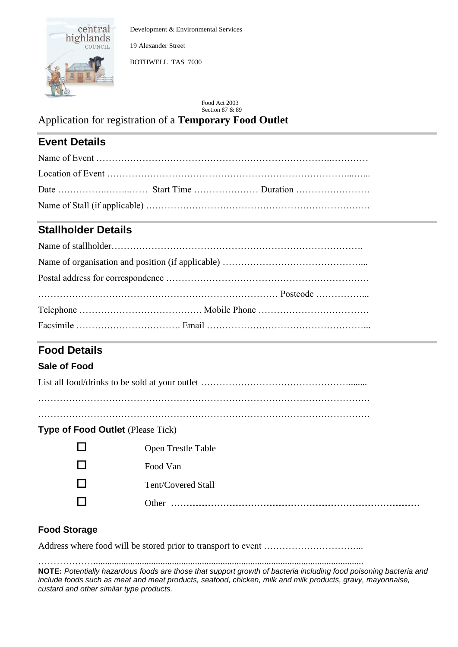

Development & Environmental Services

19 Alexander Street

BOTHWELL TAS 7030

Food Act 2003 Section 87 & 89

Application for registration of a **Temporary Food Outlet**

## **Event Details**

## **Stallholder Details**

# **Food Details**

### **Sale of Food**

|--|

………………………………………………………………………………………………

## **Type of Food Outlet** (Please Tick)

| <b>Open Trestle Table</b> |
|---------------------------|
| Food Van                  |
| Tent/Covered Stall        |
| Other.<br>.               |

## **Food Storage**

Address where food will be stored prior to transport to event …………………………...

……………….....................................................................................................................

**NOTE:** *Potentially hazardous foods are those that support growth of bacteria including food poisoning bacteria and include foods such as meat and meat products, seafood, chicken, milk and milk products, gravy, mayonnaise, custard and other similar type products.*